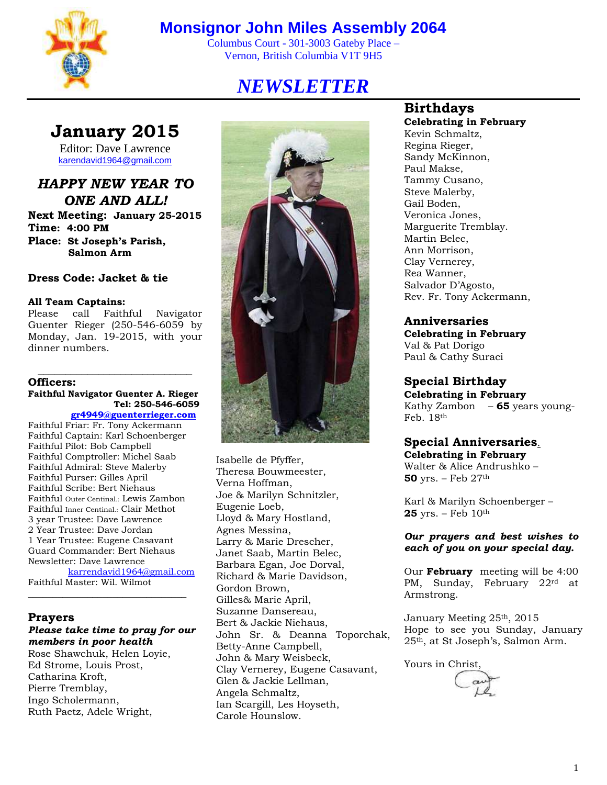

# **Monsignor John Miles Assembly 2064**

Columbus Court - 301-3003 Gateby Place – Vernon, British Columbia V1T 9H5

# *NEWSLETTER*

# **January 2015**

Editor: Dave Lawrence [karendavid1964@gmail.com](mailto:karendavid1964@gmail.com)

*HAPPY NEW YEAR TO ONE AND ALL!* **Next Meeting: January 25-2015 Time: 4:00 PM Place: St Joseph's Parish, Salmon Arm**

**Dress Code: Jacket & tie**

#### **All Team Captains:**

Please call Faithful Navigator Guenter Rieger (250-546-6059 by Monday, Jan. 19-2015, with your dinner numbers.

\_\_\_\_\_\_\_\_\_\_\_\_\_\_\_\_\_\_\_\_\_\_\_\_\_\_\_\_

#### **Officers: Faithful Navigator Guenter A. Rieger Tel: 250-546-6059**

## **[gr4949@guenterrieger.com](mailto:Gr4949@guenterrieger.com)**

Faithful Friar: Fr. Tony Ackermann Faithful Captain: Karl Schoenberger Faithful Pilot: Bob Campbell Faithful Comptroller: Michel Saab Faithful Admiral: Steve Malerby Faithful Purser: Gilles April Faithful Scribe: Bert Niehaus Faithful Outer Centinal.: Lewis Zambon Faithful Inner Centinal.: Clair Methot 3 year Trustee: Dave Lawrence 2 Year Trustee: Dave Jordan 1 Year Trustee: Eugene Casavant Guard Commander: Bert Niehaus Newsletter: Dave Lawrence [karrendavid1964@gmail.com](mailto:karrendavid1964@gmail.com)

Faithful Master: Wil. Wilmot **\_\_\_\_\_\_\_\_\_\_\_\_\_\_\_\_\_\_\_\_\_\_\_\_\_\_\_\_\_\_\_\_**

#### **Prayers**

### *Please take time to pray for our members in poor health*

Rose Shawchuk, Helen Loyie, Ed Strome, Louis Prost, Catharina Kroft, Pierre Tremblay, Ingo Scholermann, Ruth Paetz, Adele Wright,



Isabelle de Pfyffer, Theresa Bouwmeester, Verna Hoffman, Joe & Marilyn Schnitzler, Eugenie Loeb, Lloyd & Mary Hostland, Agnes Messina, Larry & Marie Drescher, Janet Saab, Martin Belec, Barbara Egan, Joe Dorval, Richard & Marie Davidson, Gordon Brown, Gilles& Marie April, Suzanne Dansereau, Bert & Jackie Niehaus, John Sr. & Deanna Toporchak, Betty-Anne Campbell, John & Mary Weisbeck, Clay Vernerey, Eugene Casavant, Glen & Jackie Lellman, Angela Schmaltz, Ian Scargill, Les Hoyseth, Carole Hounslow.

## **Birthdays Celebrating in February**

Kevin Schmaltz, Regina Rieger, Sandy McKinnon, Paul Makse, Tammy Cusano, Steve Malerby, Gail Boden, Veronica Jones, Marguerite Tremblay. Martin Belec, Ann Morrison, Clay Vernerey, Rea Wanner, Salvador D'Agosto, Rev. Fr. Tony Ackermann,

### **Anniversaries**

**Celebrating in February**  Val & Pat Dorigo Paul & Cathy Suraci

#### **Special Birthday**

**Celebrating in February** Kathy Zambon – **65** years young-Feb. 18th

# **Special Anniversaries**.

**Celebrating in February** Walter & Alice Andrushko – **50** yrs. – Feb 27th

Karl & Marilyn Schoenberger – **25** yrs. – Feb 10th

*Our prayers and best wishes to each of you on your special day.*

Our **February** meeting will be 4:00 PM, Sunday, February 22rd at Armstrong.

January Meeting 25th, 2015 Hope to see you Sunday, January 25th, at St Joseph's, Salmon Arm.

Yours in Christ,